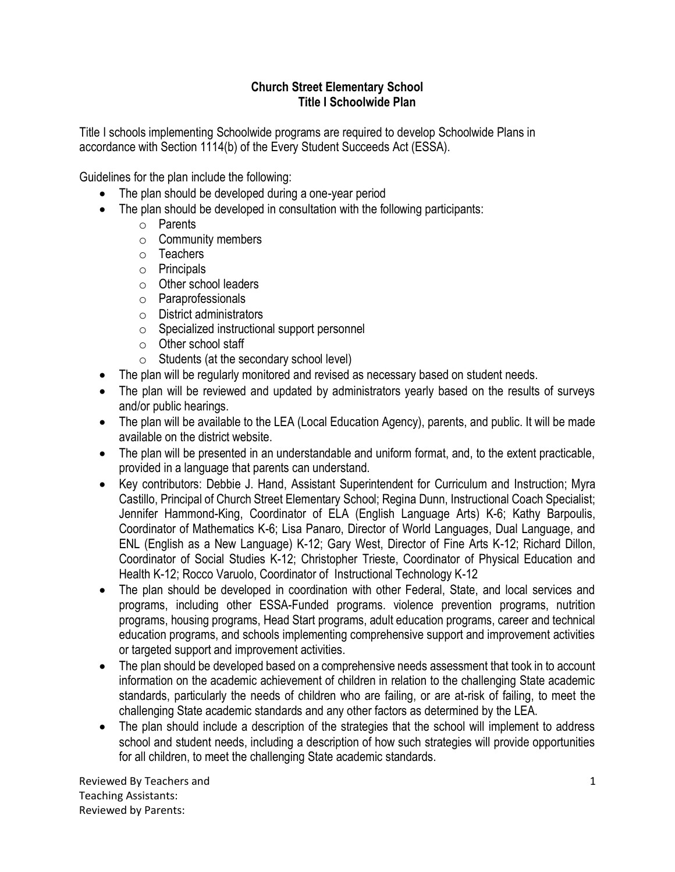## **Church Street Elementary School Title I Schoolwide Plan**

Title I schools implementing Schoolwide programs are required to develop Schoolwide Plans in accordance with Section 1114(b) of the Every Student Succeeds Act (ESSA).

Guidelines for the plan include the following:

- The plan should be developed during a one-year period
- The plan should be developed in consultation with the following participants:
	- o Parents
	- o Community members
	- o Teachers
	- o Principals
	- o Other school leaders
	- o Paraprofessionals
	- o District administrators
	- o Specialized instructional support personnel
	- $\circ$  Other school staff
	- $\circ$  Students (at the secondary school level)
- The plan will be regularly monitored and revised as necessary based on student needs.
- The plan will be reviewed and updated by administrators yearly based on the results of surveys and/or public hearings.
- The plan will be available to the LEA (Local Education Agency), parents, and public. It will be made available on the district website.
- The plan will be presented in an understandable and uniform format, and, to the extent practicable, provided in a language that parents can understand.
- Key contributors: Debbie J. Hand, Assistant Superintendent for Curriculum and Instruction; Myra Castillo, Principal of Church Street Elementary School; Regina Dunn, Instructional Coach Specialist; Jennifer Hammond-King, Coordinator of ELA (English Language Arts) K-6; Kathy Barpoulis, Coordinator of Mathematics K-6; Lisa Panaro, Director of World Languages, Dual Language, and ENL (English as a New Language) K-12; Gary West, Director of Fine Arts K-12; Richard Dillon, Coordinator of Social Studies K-12; Christopher Trieste, Coordinator of Physical Education and Health K-12; Rocco Varuolo, Coordinator of Instructional Technology K-12
- The plan should be developed in coordination with other Federal, State, and local services and programs, including other ESSA-Funded programs. violence prevention programs, nutrition programs, housing programs, Head Start programs, adult education programs, career and technical education programs, and schools implementing comprehensive support and improvement activities or targeted support and improvement activities.
- The plan should be developed based on a comprehensive needs assessment that took in to account information on the academic achievement of children in relation to the challenging State academic standards, particularly the needs of children who are failing, or are at-risk of failing, to meet the challenging State academic standards and any other factors as determined by the LEA.
- The plan should include a description of the strategies that the school will implement to address school and student needs, including a description of how such strategies will provide opportunities for all children, to meet the challenging State academic standards.

Reviewed By Teachers and Teaching Assistants: Reviewed by Parents: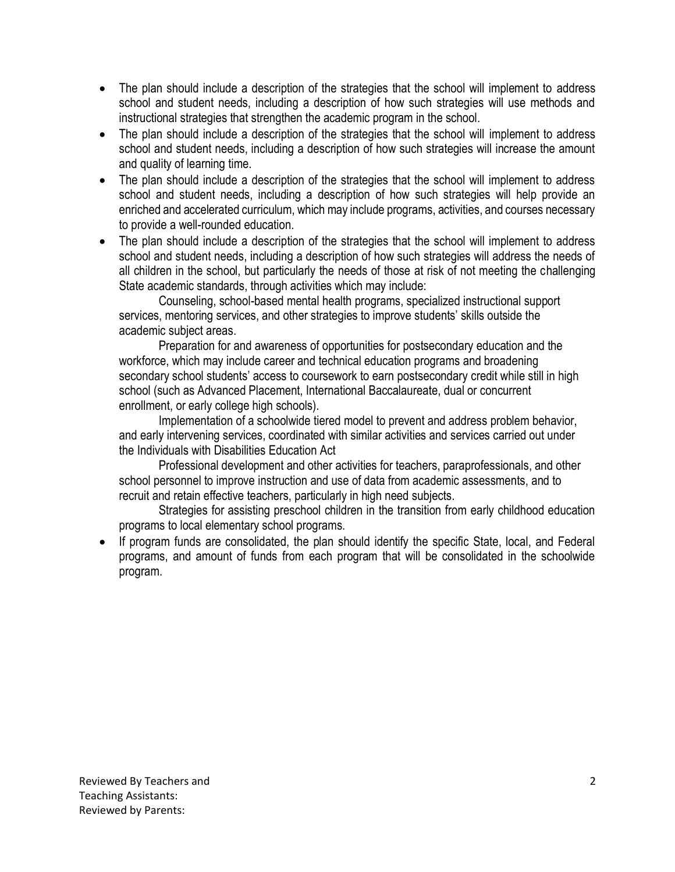- The plan should include a description of the strategies that the school will implement to address school and student needs, including a description of how such strategies will use methods and instructional strategies that strengthen the academic program in the school.
- The plan should include a description of the strategies that the school will implement to address school and student needs, including a description of how such strategies will increase the amount and quality of learning time.
- The plan should include a description of the strategies that the school will implement to address school and student needs, including a description of how such strategies will help provide an enriched and accelerated curriculum, which may include programs, activities, and courses necessary to provide a well-rounded education.
- The plan should include a description of the strategies that the school will implement to address school and student needs, including a description of how such strategies will address the needs of all children in the school, but particularly the needs of those at risk of not meeting the challenging State academic standards, through activities which may include:

Counseling, school-based mental health programs, specialized instructional support services, mentoring services, and other strategies to improve students' skills outside the academic subject areas.

Preparation for and awareness of opportunities for postsecondary education and the workforce, which may include career and technical education programs and broadening secondary school students' access to coursework to earn postsecondary credit while still in high school (such as Advanced Placement, International Baccalaureate, dual or concurrent enrollment, or early college high schools).

Implementation of a schoolwide tiered model to prevent and address problem behavior, and early intervening services, coordinated with similar activities and services carried out under the Individuals with Disabilities Education Act

Professional development and other activities for teachers, paraprofessionals, and other school personnel to improve instruction and use of data from academic assessments, and to recruit and retain effective teachers, particularly in high need subjects.

Strategies for assisting preschool children in the transition from early childhood education programs to local elementary school programs.

If program funds are consolidated, the plan should identify the specific State, local, and Federal programs, and amount of funds from each program that will be consolidated in the schoolwide program.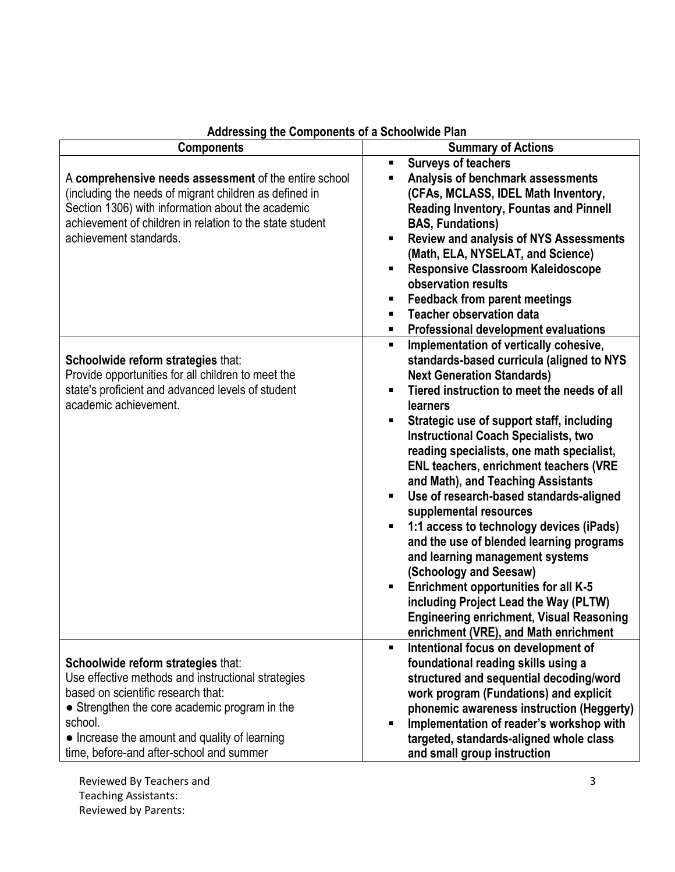| <b>Components</b>                                                                                                                                                                                                                                                                       | <b>Summary of Actions</b>                                                                                                                                                                                                                                                                                                                                                                                                                                                                                                                                                                                                                                                                                                                                                                                                                                            |
|-----------------------------------------------------------------------------------------------------------------------------------------------------------------------------------------------------------------------------------------------------------------------------------------|----------------------------------------------------------------------------------------------------------------------------------------------------------------------------------------------------------------------------------------------------------------------------------------------------------------------------------------------------------------------------------------------------------------------------------------------------------------------------------------------------------------------------------------------------------------------------------------------------------------------------------------------------------------------------------------------------------------------------------------------------------------------------------------------------------------------------------------------------------------------|
| A comprehensive needs assessment of the entire school<br>(including the needs of migrant children as defined in<br>Section 1306) with information about the academic<br>achievement of children in relation to the state student<br>achievement standards.                              | <b>Surveys of teachers</b><br>$\blacksquare$<br>Analysis of benchmark assessments<br>(CFAs, MCLASS, IDEL Math Inventory,<br><b>Reading Inventory, Fountas and Pinnell</b><br><b>BAS, Fundations)</b><br><b>Review and analysis of NYS Assessments</b><br>$\blacksquare$<br>(Math, ELA, NYSELAT, and Science)<br><b>Responsive Classroom Kaleidoscope</b><br>observation results<br><b>Feedback from parent meetings</b><br><b>Teacher observation data</b><br><b>Professional development evaluations</b><br>п                                                                                                                                                                                                                                                                                                                                                       |
| Schoolwide reform strategies that:<br>Provide opportunities for all children to meet the<br>state's proficient and advanced levels of student<br>academic achievement.                                                                                                                  | Implementation of vertically cohesive,<br>$\blacksquare$<br>standards-based curricula (aligned to NYS<br><b>Next Generation Standards)</b><br>Tiered instruction to meet the needs of all<br>٠<br><b>learners</b><br>Strategic use of support staff, including<br><b>Instructional Coach Specialists, two</b><br>reading specialists, one math specialist,<br><b>ENL teachers, enrichment teachers (VRE</b><br>and Math), and Teaching Assistants<br>Use of research-based standards-aligned<br>٠<br>supplemental resources<br>1:1 access to technology devices (iPads)<br>and the use of blended learning programs<br>and learning management systems<br>(Schoology and Seesaw)<br><b>Enrichment opportunities for all K-5</b><br>including Project Lead the Way (PLTW)<br><b>Engineering enrichment, Visual Reasoning</b><br>enrichment (VRE), and Math enrichment |
| Schoolwide reform strategies that:<br>Use effective methods and instructional strategies<br>based on scientific research that:<br>• Strengthen the core academic program in the<br>school.<br>• Increase the amount and quality of learning<br>time, before-and after-school and summer | Intentional focus on development of<br>$\blacksquare$<br>foundational reading skills using a<br>structured and sequential decoding/word<br>work program (Fundations) and explicit<br>phonemic awareness instruction (Heggerty)<br>Implementation of reader's workshop with<br>targeted, standards-aligned whole class<br>and small group instruction                                                                                                                                                                                                                                                                                                                                                                                                                                                                                                                 |

## **Addressing the Components of a Schoolwide Plan**

Reviewed By Teachers and Teaching Assistants: Reviewed by Parents: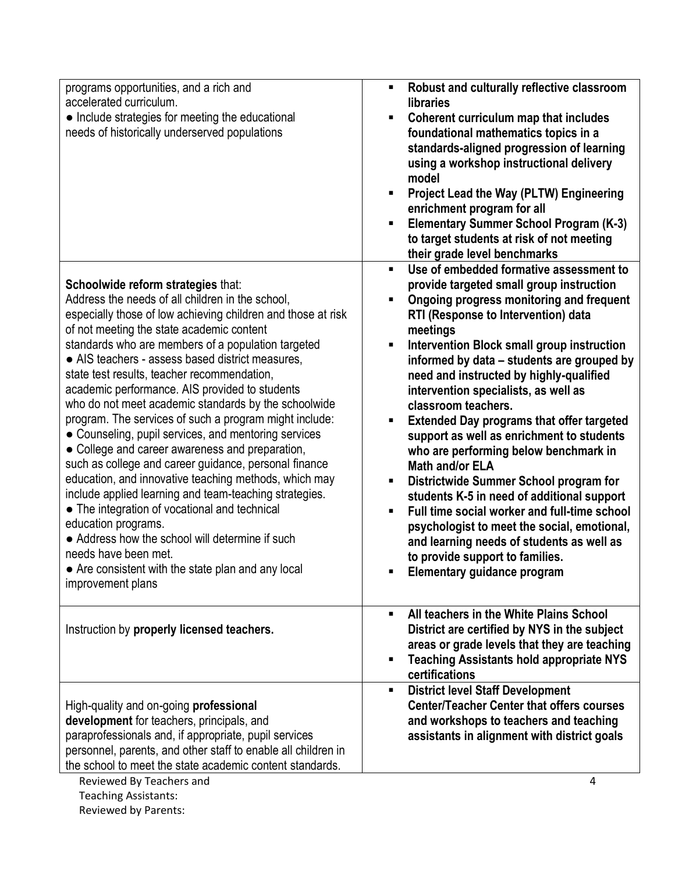| programs opportunities, and a rich and<br>accelerated curriculum.<br>• Include strategies for meeting the educational<br>needs of historically underserved populations                                                                                                                                                                                                                                                                                                                                                                                                                                                                                                                                                                                                                                                                                                                                                                                                                                                                                | Robust and culturally reflective classroom<br>п<br>libraries<br>Coherent curriculum map that includes<br>П<br>foundational mathematics topics in a<br>standards-aligned progression of learning<br>using a workshop instructional delivery<br>model<br><b>Project Lead the Way (PLTW) Engineering</b><br>٠<br>enrichment program for all<br><b>Elementary Summer School Program (K-3)</b><br>to target students at risk of not meeting<br>their grade level benchmarks                                                                                                                                                                                                                                                                                                                                                                                                                                   |
|-------------------------------------------------------------------------------------------------------------------------------------------------------------------------------------------------------------------------------------------------------------------------------------------------------------------------------------------------------------------------------------------------------------------------------------------------------------------------------------------------------------------------------------------------------------------------------------------------------------------------------------------------------------------------------------------------------------------------------------------------------------------------------------------------------------------------------------------------------------------------------------------------------------------------------------------------------------------------------------------------------------------------------------------------------|----------------------------------------------------------------------------------------------------------------------------------------------------------------------------------------------------------------------------------------------------------------------------------------------------------------------------------------------------------------------------------------------------------------------------------------------------------------------------------------------------------------------------------------------------------------------------------------------------------------------------------------------------------------------------------------------------------------------------------------------------------------------------------------------------------------------------------------------------------------------------------------------------------|
| Schoolwide reform strategies that:<br>Address the needs of all children in the school,<br>especially those of low achieving children and those at risk<br>of not meeting the state academic content<br>standards who are members of a population targeted<br>• AIS teachers - assess based district measures,<br>state test results, teacher recommendation,<br>academic performance. AIS provided to students<br>who do not meet academic standards by the schoolwide<br>program. The services of such a program might include:<br>• Counseling, pupil services, and mentoring services<br>• College and career awareness and preparation,<br>such as college and career guidance, personal finance<br>education, and innovative teaching methods, which may<br>include applied learning and team-teaching strategies.<br>• The integration of vocational and technical<br>education programs.<br>• Address how the school will determine if such<br>needs have been met.<br>• Are consistent with the state plan and any local<br>improvement plans | Use of embedded formative assessment to<br>$\blacksquare$<br>provide targeted small group instruction<br>Ongoing progress monitoring and frequent<br>Ξ<br>RTI (Response to Intervention) data<br>meetings<br>Intervention Block small group instruction<br>٠<br>informed by data - students are grouped by<br>need and instructed by highly-qualified<br>intervention specialists, as well as<br>classroom teachers.<br><b>Extended Day programs that offer targeted</b><br>п<br>support as well as enrichment to students<br>who are performing below benchmark in<br><b>Math and/or ELA</b><br>Districtwide Summer School program for<br>students K-5 in need of additional support<br>Full time social worker and full-time school<br>٠<br>psychologist to meet the social, emotional,<br>and learning needs of students as well as<br>to provide support to families.<br>Elementary guidance program |
| Instruction by properly licensed teachers.                                                                                                                                                                                                                                                                                                                                                                                                                                                                                                                                                                                                                                                                                                                                                                                                                                                                                                                                                                                                            | All teachers in the White Plains School<br>District are certified by NYS in the subject<br>areas or grade levels that they are teaching<br><b>Teaching Assistants hold appropriate NYS</b><br>certifications                                                                                                                                                                                                                                                                                                                                                                                                                                                                                                                                                                                                                                                                                             |
| High-quality and on-going professional<br>development for teachers, principals, and<br>paraprofessionals and, if appropriate, pupil services<br>personnel, parents, and other staff to enable all children in<br>the school to meet the state academic content standards.                                                                                                                                                                                                                                                                                                                                                                                                                                                                                                                                                                                                                                                                                                                                                                             | <b>District level Staff Development</b><br>п.<br><b>Center/Teacher Center that offers courses</b><br>and workshops to teachers and teaching<br>assistants in alignment with district goals                                                                                                                                                                                                                                                                                                                                                                                                                                                                                                                                                                                                                                                                                                               |

Reviewed By Teachers and Teaching Assistants: Reviewed by Parents: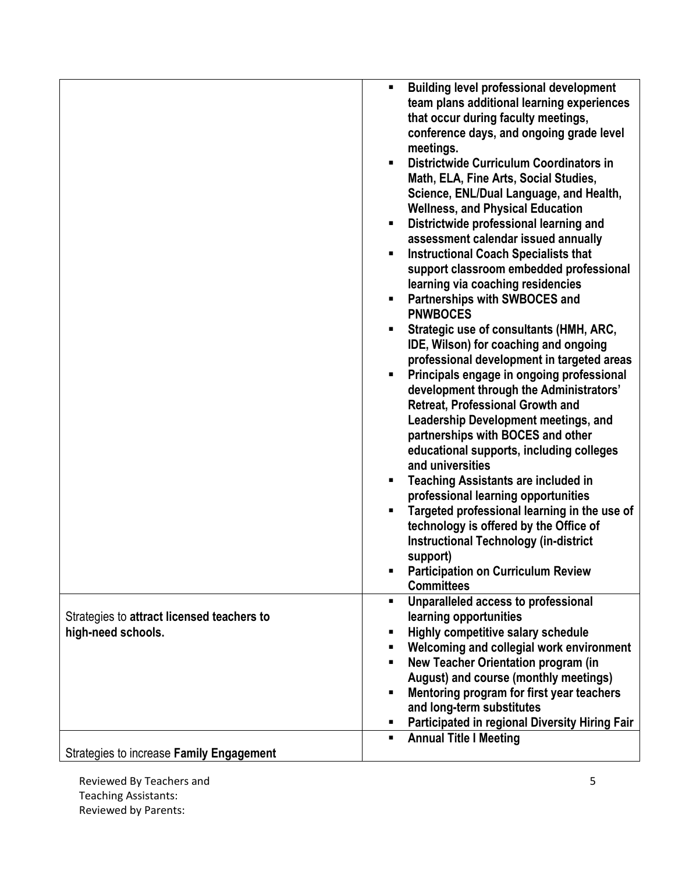|                                            | <b>Building level professional development</b> |
|--------------------------------------------|------------------------------------------------|
|                                            | team plans additional learning experiences     |
|                                            | that occur during faculty meetings,            |
|                                            | conference days, and ongoing grade level       |
|                                            |                                                |
|                                            | meetings.                                      |
|                                            | Districtwide Curriculum Coordinators in        |
|                                            | Math, ELA, Fine Arts, Social Studies,          |
|                                            | Science, ENL/Dual Language, and Health,        |
|                                            | <b>Wellness, and Physical Education</b>        |
|                                            | Districtwide professional learning and         |
|                                            | assessment calendar issued annually            |
|                                            | <b>Instructional Coach Specialists that</b>    |
|                                            |                                                |
|                                            | support classroom embedded professional        |
|                                            | learning via coaching residencies              |
|                                            | Partnerships with SWBOCES and                  |
|                                            | <b>PNWBOCES</b>                                |
|                                            | Strategic use of consultants (HMH, ARC,        |
|                                            | IDE, Wilson) for coaching and ongoing          |
|                                            | professional development in targeted areas     |
|                                            | Principals engage in ongoing professional      |
|                                            | development through the Administrators'        |
|                                            |                                                |
|                                            | <b>Retreat, Professional Growth and</b>        |
|                                            | <b>Leadership Development meetings, and</b>    |
|                                            | partnerships with BOCES and other              |
|                                            | educational supports, including colleges       |
|                                            | and universities                               |
|                                            | <b>Teaching Assistants are included in</b>     |
|                                            | professional learning opportunities            |
|                                            | Targeted professional learning in the use of   |
|                                            | technology is offered by the Office of         |
|                                            |                                                |
|                                            | <b>Instructional Technology (in-district</b>   |
|                                            | support)                                       |
|                                            | <b>Participation on Curriculum Review</b>      |
|                                            | <b>Committees</b>                              |
|                                            | Unparalleled access to professional<br>٠       |
| Strategies to attract licensed teachers to | learning opportunities                         |
| high-need schools.                         | Highly competitive salary schedule             |
|                                            | Welcoming and collegial work environment       |
|                                            | New Teacher Orientation program (in            |
|                                            | August) and course (monthly meetings)          |
|                                            | Mentoring program for first year teachers      |
|                                            | and long-term substitutes                      |
|                                            |                                                |
|                                            | Participated in regional Diversity Hiring Fair |
|                                            | <b>Annual Title I Meeting</b>                  |
| Strategies to increase Family Engagement   |                                                |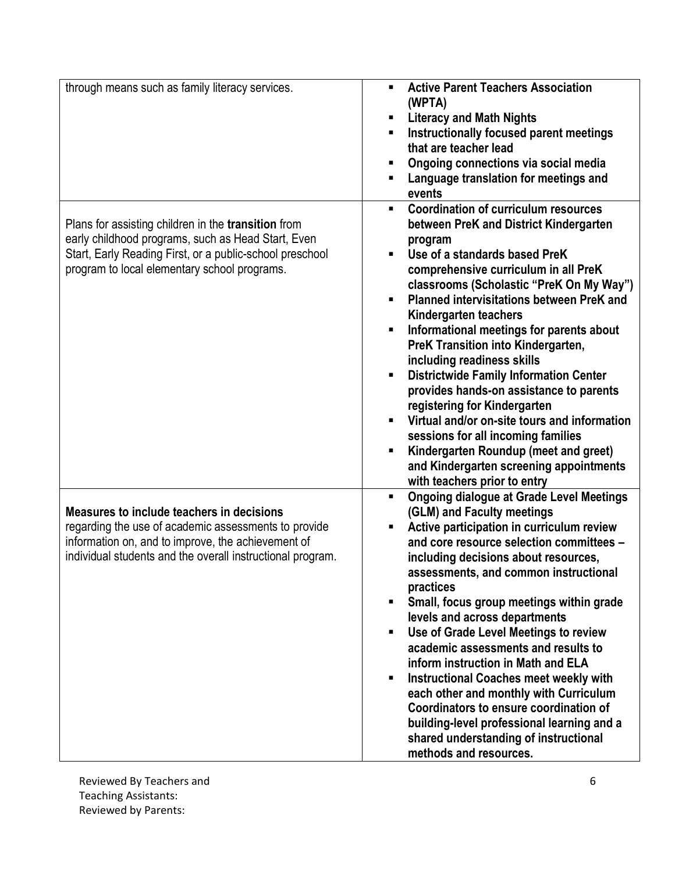| through means such as family literacy services.            | <b>Active Parent Teachers Association</b><br>$\blacksquare$                      |
|------------------------------------------------------------|----------------------------------------------------------------------------------|
|                                                            | (WPTA)                                                                           |
|                                                            | <b>Literacy and Math Nights</b>                                                  |
|                                                            | Instructionally focused parent meetings                                          |
|                                                            | that are teacher lead                                                            |
|                                                            | Ongoing connections via social media                                             |
|                                                            | Language translation for meetings and<br>п                                       |
|                                                            | events                                                                           |
|                                                            | <b>Coordination of curriculum resources</b><br>$\blacksquare$                    |
| Plans for assisting children in the <b>transition</b> from | between PreK and District Kindergarten                                           |
| early childhood programs, such as Head Start, Even         | program                                                                          |
| Start, Early Reading First, or a public-school preschool   | Use of a standards based PreK                                                    |
| program to local elementary school programs.               | comprehensive curriculum in all PreK                                             |
|                                                            | classrooms (Scholastic "PreK On My Way")                                         |
|                                                            | <b>Planned intervisitations between PreK and</b><br>п                            |
|                                                            | Kindergarten teachers                                                            |
|                                                            | Informational meetings for parents about                                         |
|                                                            | PreK Transition into Kindergarten,                                               |
|                                                            | including readiness skills                                                       |
|                                                            | <b>Districtwide Family Information Center</b>                                    |
|                                                            | provides hands-on assistance to parents                                          |
|                                                            | registering for Kindergarten                                                     |
|                                                            | Virtual and/or on-site tours and information                                     |
|                                                            | sessions for all incoming families                                               |
|                                                            | Kindergarten Roundup (meet and greet)<br>П                                       |
|                                                            | and Kindergarten screening appointments                                          |
|                                                            | with teachers prior to entry                                                     |
|                                                            | <b>Ongoing dialogue at Grade Level Meetings</b><br>٠                             |
| Measures to include teachers in decisions                  | (GLM) and Faculty meetings                                                       |
| regarding the use of academic assessments to provide       | Active participation in curriculum review<br>п                                   |
| information on, and to improve, the achievement of         | and core resource selection committees -                                         |
| individual students and the overall instructional program. | including decisions about resources,                                             |
|                                                            | assessments, and common instructional                                            |
|                                                            | practices                                                                        |
|                                                            | Small, focus group meetings within grade<br>$\blacksquare$                       |
|                                                            | levels and across departments                                                    |
|                                                            | Use of Grade Level Meetings to review<br>$\blacksquare$                          |
|                                                            | academic assessments and results to                                              |
|                                                            | inform instruction in Math and ELA                                               |
|                                                            | <b>Instructional Coaches meet weekly with</b>                                    |
|                                                            | each other and monthly with Curriculum<br>Coordinators to ensure coordination of |
|                                                            |                                                                                  |
|                                                            | building-level professional learning and a                                       |
|                                                            | shared understanding of instructional                                            |
|                                                            | methods and resources.                                                           |